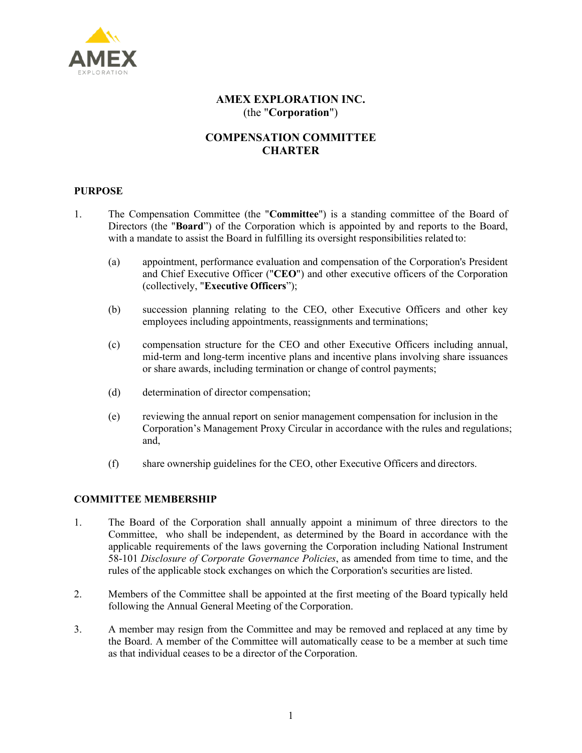

# **AMEX EXPLORATION INC.** (the "**Corporation**")

# **COMPENSATION COMMITTEE CHARTER**

# **PURPOSE**

- 1. The Compensation Committee (the "**Committee**") is a standing committee of the Board of Directors (the "**Board**") of the Corporation which is appointed by and reports to the Board, with a mandate to assist the Board in fulfilling its oversight responsibilities related to:
	- (a) appointment, performance evaluation and compensation of the Corporation's President and Chief Executive Officer ("**CEO**") and other executive officers of the Corporation (collectively, "**Executive Officers**");
	- (b) succession planning relating to the CEO, other Executive Officers and other key employees including appointments, reassignments and terminations;
	- (c) compensation structure for the CEO and other Executive Officers including annual, mid-term and long-term incentive plans and incentive plans involving share issuances or share awards, including termination or change of control payments;
	- (d) determination of director compensation;
	- (e) reviewing the annual report on senior management compensation for inclusion in the Corporation's Management Proxy Circular in accordance with the rules and regulations; and,
	- (f) share ownership guidelines for the CEO, other Executive Officers and directors.

# **COMMITTEE MEMBERSHIP**

- 1. The Board of the Corporation shall annually appoint a minimum of three directors to the Committee, who shall be independent, as determined by the Board in accordance with the applicable requirements of the laws governing the Corporation including National Instrument 58-101 *Disclosure of Corporate Governance Policies*, as amended from time to time, and the rules of the applicable stock exchanges on which the Corporation's securities are listed.
- 2. Members of the Committee shall be appointed at the first meeting of the Board typically held following the Annual General Meeting of the Corporation.
- 3. A member may resign from the Committee and may be removed and replaced at any time by the Board. A member of the Committee will automatically cease to be a member at such time as that individual ceases to be a director of the Corporation.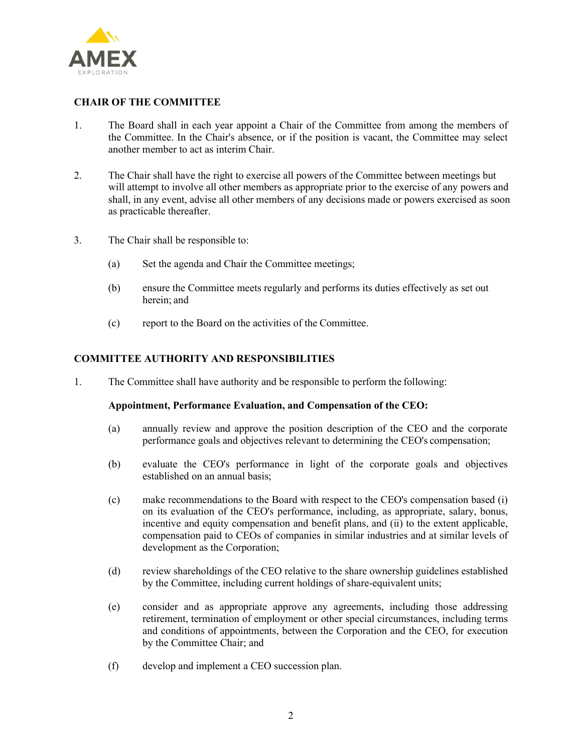

# **CHAIR OF THE COMMITTEE**

- 1. The Board shall in each year appoint a Chair of the Committee from among the members of the Committee. In the Chair's absence, or if the position is vacant, the Committee may select another member to act as interim Chair.
- 2. The Chair shall have the right to exercise all powers of the Committee between meetings but will attempt to involve all other members as appropriate prior to the exercise of any powers and shall, in any event, advise all other members of any decisions made or powers exercised as soon as practicable thereafter.
- 3. The Chair shall be responsible to:
	- (a) Set the agenda and Chair the Committee meetings;
	- (b) ensure the Committee meets regularly and performs its duties effectively as set out herein; and
	- (c) report to the Board on the activities of the Committee.

# **COMMITTEE AUTHORITY AND RESPONSIBILITIES**

1. The Committee shall have authority and be responsible to perform the following:

### **Appointment, Performance Evaluation, and Compensation of the CEO:**

- (a) annually review and approve the position description of the CEO and the corporate performance goals and objectives relevant to determining the CEO's compensation;
- (b) evaluate the CEO's performance in light of the corporate goals and objectives established on an annual basis;
- (c) make recommendations to the Board with respect to the CEO's compensation based (i) on its evaluation of the CEO's performance, including, as appropriate, salary, bonus, incentive and equity compensation and benefit plans, and (ii) to the extent applicable, compensation paid to CEOs of companies in similar industries and at similar levels of development as the Corporation;
- (d) review shareholdings of the CEO relative to the share ownership guidelines established by the Committee, including current holdings of share-equivalent units;
- (e) consider and as appropriate approve any agreements, including those addressing retirement, termination of employment or other special circumstances, including terms and conditions of appointments, between the Corporation and the CEO, for execution by the Committee Chair; and
- (f) develop and implement a CEO succession plan.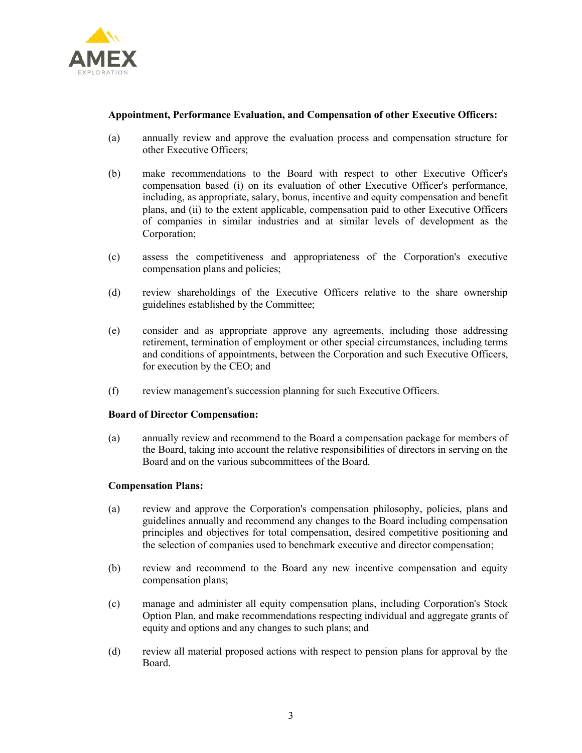

### **Appointment, Performance Evaluation, and Compensation of other Executive Officers:**

- (a) annually review and approve the evaluation process and compensation structure for other Executive Officers;
- (b) make recommendations to the Board with respect to other Executive Officer's compensation based (i) on its evaluation of other Executive Officer's performance, including, as appropriate, salary, bonus, incentive and equity compensation and benefit plans, and (ii) to the extent applicable, compensation paid to other Executive Officers of companies in similar industries and at similar levels of development as the Corporation;
- (c) assess the competitiveness and appropriateness of the Corporation's executive compensation plans and policies;
- (d) review shareholdings of the Executive Officers relative to the share ownership guidelines established by the Committee;
- (e) consider and as appropriate approve any agreements, including those addressing retirement, termination of employment or other special circumstances, including terms and conditions of appointments, between the Corporation and such Executive Officers, for execution by the CEO; and
- (f) review management's succession planning for such Executive Officers.

#### **Board of Director Compensation:**

(a) annually review and recommend to the Board a compensation package for members of the Board, taking into account the relative responsibilities of directors in serving on the Board and on the various subcommittees of the Board.

### **Compensation Plans:**

- (a) review and approve the Corporation's compensation philosophy, policies, plans and guidelines annually and recommend any changes to the Board including compensation principles and objectives for total compensation, desired competitive positioning and the selection of companies used to benchmark executive and director compensation;
- (b) review and recommend to the Board any new incentive compensation and equity compensation plans;
- (c) manage and administer all equity compensation plans, including Corporation's Stock Option Plan, and make recommendations respecting individual and aggregate grants of equity and options and any changes to such plans; and
- (d) review all material proposed actions with respect to pension plans for approval by the Board.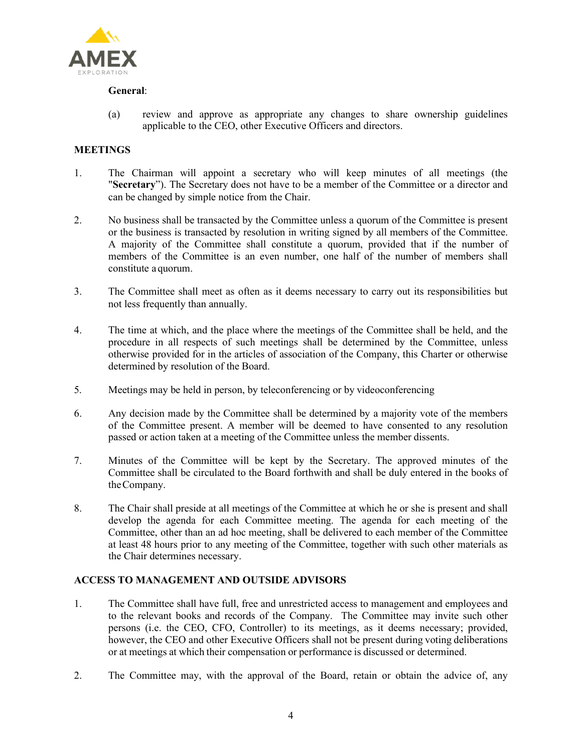

### **General**:

(a) review and approve as appropriate any changes to share ownership guidelines applicable to the CEO, other Executive Officers and directors.

# **MEETINGS**

- 1. The Chairman will appoint a secretary who will keep minutes of all meetings (the "**Secretary**"). The Secretary does not have to be a member of the Committee or a director and can be changed by simple notice from the Chair.
- 2. No business shall be transacted by the Committee unless a quorum of the Committee is present or the business is transacted by resolution in writing signed by all members of the Committee. A majority of the Committee shall constitute a quorum, provided that if the number of members of the Committee is an even number, one half of the number of members shall constitute a quorum.
- 3. The Committee shall meet as often as it deems necessary to carry out its responsibilities but not less frequently than annually.
- 4. The time at which, and the place where the meetings of the Committee shall be held, and the procedure in all respects of such meetings shall be determined by the Committee, unless otherwise provided for in the articles of association of the Company, this Charter or otherwise determined by resolution of the Board.
- 5. Meetings may be held in person, by teleconferencing or by videoconferencing
- 6. Any decision made by the Committee shall be determined by a majority vote of the members of the Committee present. A member will be deemed to have consented to any resolution passed or action taken at a meeting of the Committee unless the member dissents.
- 7. Minutes of the Committee will be kept by the Secretary. The approved minutes of the Committee shall be circulated to the Board forthwith and shall be duly entered in the books of theCompany.
- 8. The Chair shall preside at all meetings of the Committee at which he or she is present and shall develop the agenda for each Committee meeting. The agenda for each meeting of the Committee, other than an ad hoc meeting, shall be delivered to each member of the Committee at least 48 hours prior to any meeting of the Committee, together with such other materials as the Chair determines necessary.

### **ACCESS TO MANAGEMENT AND OUTSIDE ADVISORS**

- 1. The Committee shall have full, free and unrestricted access to management and employees and to the relevant books and records of the Company. The Committee may invite such other persons (i.e. the CEO, CFO, Controller) to its meetings, as it deems necessary; provided, however, the CEO and other Executive Officers shall not be present during voting deliberations or at meetings at which their compensation or performance is discussed or determined.
- 2. The Committee may, with the approval of the Board, retain or obtain the advice of, any